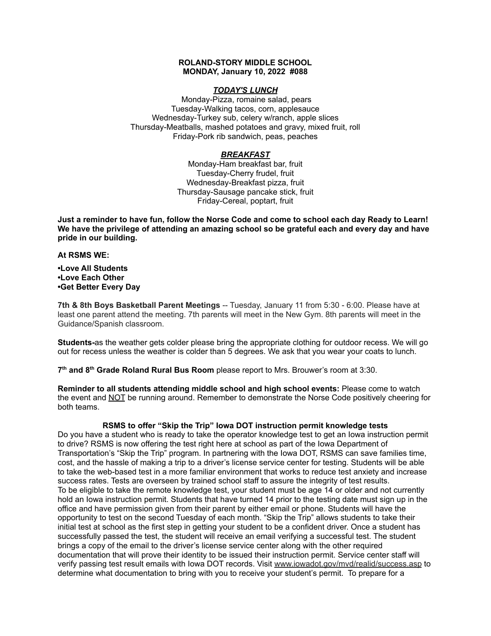# **ROLAND-STORY MIDDLE SCHOOL MONDAY, January 10, 2022 #088**

## *TODAY'S LUNCH*

Monday-Pizza, romaine salad, pears Tuesday-Walking tacos, corn, applesauce Wednesday-Turkey sub, celery w/ranch, apple slices Thursday-Meatballs, mashed potatoes and gravy, mixed fruit, roll Friday-Pork rib sandwich, peas, peaches

# *BREAKFAST*

Monday-Ham breakfast bar, fruit Tuesday-Cherry frudel, fruit Wednesday-Breakfast pizza, fruit Thursday-Sausage pancake stick, fruit Friday-Cereal, poptart, fruit

Just a reminder to have fun, follow the Norse Code and come to school each day Ready to Learn! **We have the privilege of attending an amazing school so be grateful each and every day and have pride in our building.**

#### **At RSMS WE:**

**•Love All Students •Love Each Other •Get Better Every Day**

**7th & 8th Boys Basketball Parent Meetings** -- Tuesday, January 11 from 5:30 - 6:00. Please have at least one parent attend the meeting. 7th parents will meet in the New Gym. 8th parents will meet in the Guidance/Spanish classroom.

**Students-**as the weather gets colder please bring the appropriate clothing for outdoor recess. We will go out for recess unless the weather is colder than 5 degrees. We ask that you wear your coats to lunch.

**7 th and 8 th Grade Roland Rural Bus Room** please report to Mrs. Brouwer's room at 3:30.

**Reminder to all students attending middle school and high school events:** Please come to watch the event and NOT be running around. Remember to demonstrate the Norse Code positively cheering for both teams.

# **RSMS to offer "Skip the Trip" Iowa DOT instruction permit knowledge tests**

Do you have a student who is ready to take the operator knowledge test to get an Iowa instruction permit to drive? RSMS is now offering the test right here at school as part of the Iowa Department of Transportation's "Skip the Trip" program. In partnering with the Iowa DOT, RSMS can save families time, cost, and the hassle of making a trip to a driver's license service center for testing. Students will be able to take the web-based test in a more familiar environment that works to reduce test anxiety and increase success rates. Tests are overseen by trained school staff to assure the integrity of test results. To be eligible to take the remote knowledge test, your student must be age 14 or older and not currently hold an Iowa instruction permit. Students that have turned 14 prior to the testing date must sign up in the office and have permission given from their parent by either email or phone. Students will have the opportunity to test on the second Tuesday of each month. "Skip the Trip" allows students to take their initial test at school as the first step in getting your student to be a confident driver. Once a student has successfully passed the test, the student will receive an email verifying a successful test. The student brings a copy of the email to the driver's license service center along with the other required documentation that will prove their identity to be issued their instruction permit. Service center staff will verify passing test result emails with Iowa DOT records. Visit [www.iowadot.gov/mvd/realid/success.asp](http://www.iowadot.gov/mvd/realid/success.asp) to determine what documentation to bring with you to receive your student's permit. To prepare for a